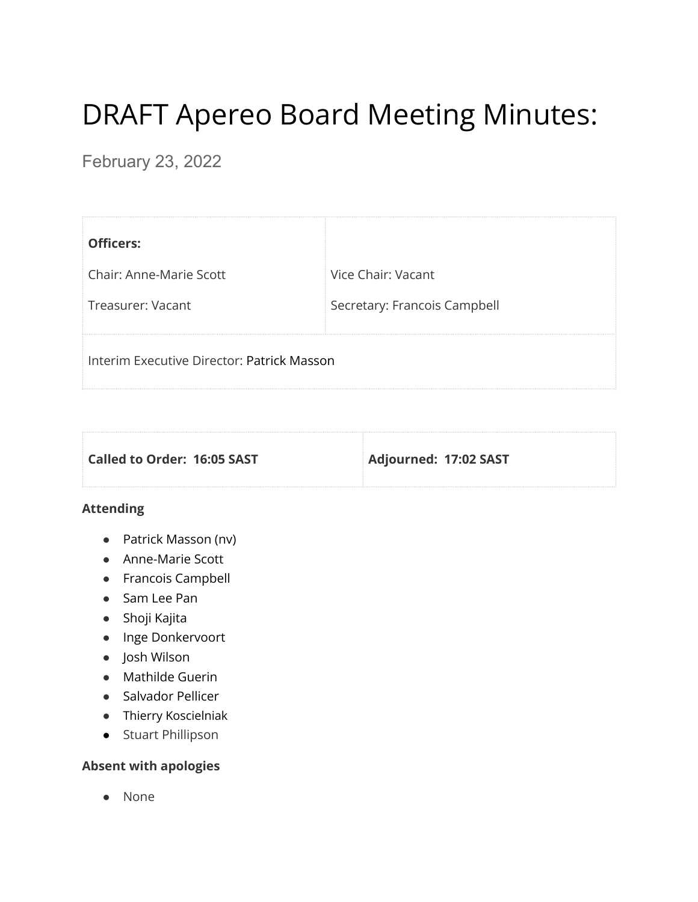# DRAFT Apereo Board Meeting Minutes:

February 23, 2022

| <b>Officers:</b>                           |                              |
|--------------------------------------------|------------------------------|
| <b>Chair: Anne-Marie Scott</b>             | Vice Chair: Vacant           |
| Treasurer: Vacant                          | Secretary: Francois Campbell |
| Interim Executive Director: Patrick Masson |                              |

| Called to Order: 16:05 SAST | Adjourned: 17:02 SAST |
|-----------------------------|-----------------------|
|                             |                       |

#### **Attending**

- Patrick Masson (nv)
- Anne-Marie Scott
- Francois Campbell
- Sam Lee Pan
- Shoji Kajita
- Inge Donkervoort
- Josh Wilson
- Mathilde Guerin
- Salvador Pellicer
- Thierry Koscielniak
- Stuart Phillipson

## **Absent with apologies**

● None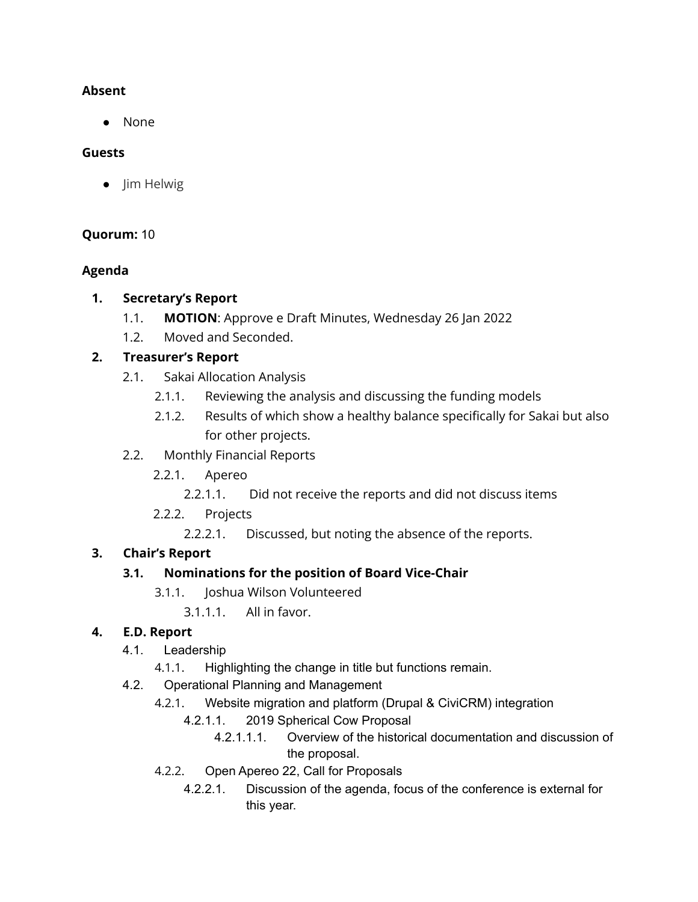#### **Absent**

● None

#### **Guests**

● Jim Helwig

## **Quorum:** 10

## **Agenda**

#### **1. Secretary's Report**

- 1.1. **MOTION**: Approve e Draft Minutes, Wednesday 26 Jan 2022
- 1.2. Moved and Seconded.

## **2. Treasurer's Report**

- 2.1. Sakai Allocation Analysis
	- 2.1.1. Reviewing the analysis and discussing the funding models
	- 2.1.2. Results of which show a healthy balance specifically for Sakai but also for other projects.
- 2.2. Monthly Financial Reports
	- 2.2.1. Apereo
		- 2.2.1.1. Did not receive the reports and did not discuss items
	- 2.2.2. Projects
		- 2.2.2.1. Discussed, but noting the absence of the reports.

## **3. Chair's Report**

## **3.1. Nominations for the position of Board Vice-Chair**

- 3.1.1. Joshua Wilson Volunteered
	- 3.1.1.1. All in favor.

## **4. E.D. Report**

- 4.1. Leadership
	- 4.1.1. Highlighting the change in title but functions remain.
- 4.2. Operational Planning and Management
	- 4.2.1. Website migration and platform (Drupal & CiviCRM) integration
		- 4.2.1.1. 2019 Spherical Cow Proposal
			- 4.2.1.1.1. Overview of the historical documentation and discussion of the proposal.
	- 4.2.2. Open Apereo 22, Call for Proposals
		- 4.2.2.1. Discussion of the agenda, focus of the conference is external for this year.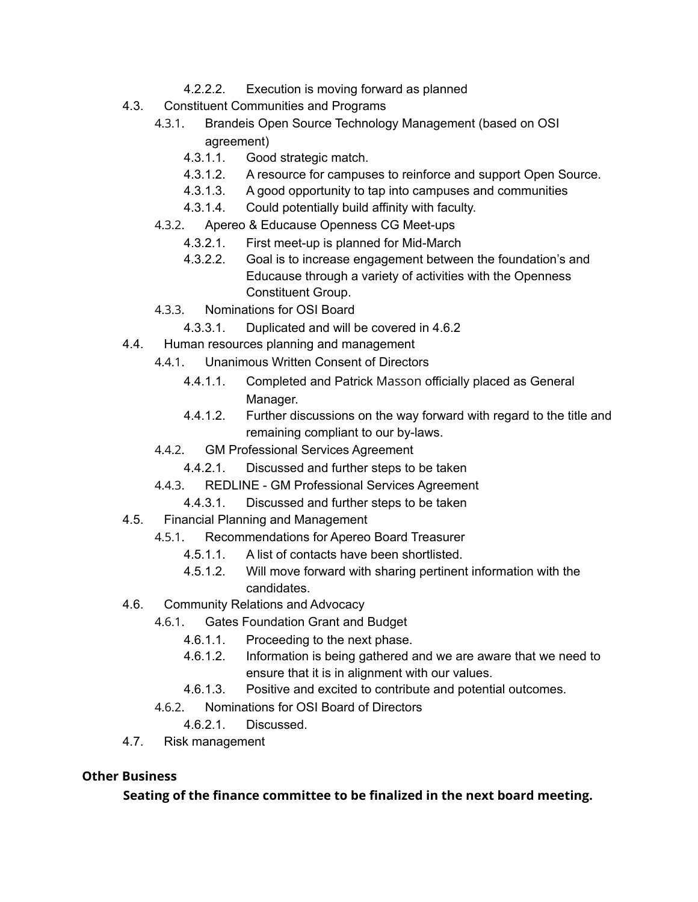- 4.2.2.2. Execution is moving forward as planned
- 4.3. Constituent Communities and Programs
	- 4.3.1. Brandeis Open Source Technology Management (based on OSI agreement)
		- 4.3.1.1. Good strategic match.
		- 4.3.1.2. A resource for campuses to reinforce and support Open Source.
		- 4.3.1.3. A good opportunity to tap into campuses and communities
		- 4.3.1.4. Could potentially build affinity with faculty.
	- 4.3.2. Apereo & Educause Openness CG Meet-ups
		- 4.3.2.1. First meet-up is planned for Mid-March
		- 4.3.2.2. Goal is to increase engagement between the foundation's and Educause through a variety of activities with the Openness Constituent Group.
	- 4.3.3. Nominations for OSI Board
		- 4.3.3.1. Duplicated and will be covered in 4.6.2
- 4.4. Human resources planning and management
	- 4.4.1. Unanimous Written Consent of Directors
		- 4.4.1.1. Completed and Patrick Masson officially placed as General Manager.
		- 4.4.1.2. Further discussions on the way forward with regard to the title and remaining compliant to our by-laws.
	- 4.4.2. GM Professional Services Agreement
		- 4.4.2.1. Discussed and further steps to be taken
	- 4.4.3. REDLINE GM Professional Services Agreement
		- 4.4.3.1. Discussed and further steps to be taken
- 4.5. Financial Planning and Management
	- 4.5.1. Recommendations for Apereo Board Treasurer
		- 4.5.1.1. A list of contacts have been shortlisted.
		- 4.5.1.2. Will move forward with sharing pertinent information with the candidates.
- 4.6. Community Relations and Advocacy
	- 4.6.1. Gates Foundation Grant and Budget
		- 4.6.1.1. Proceeding to the next phase.
		- 4.6.1.2. Information is being gathered and we are aware that we need to ensure that it is in alignment with our values.
		- 4.6.1.3. Positive and excited to contribute and potential outcomes.
	- 4.6.2. Nominations for OSI Board of Directors
		- 4.6.2.1. Discussed.
- 4.7. Risk management

#### **Other Business**

**Seating of the finance committee to be finalized in the next board meeting.**